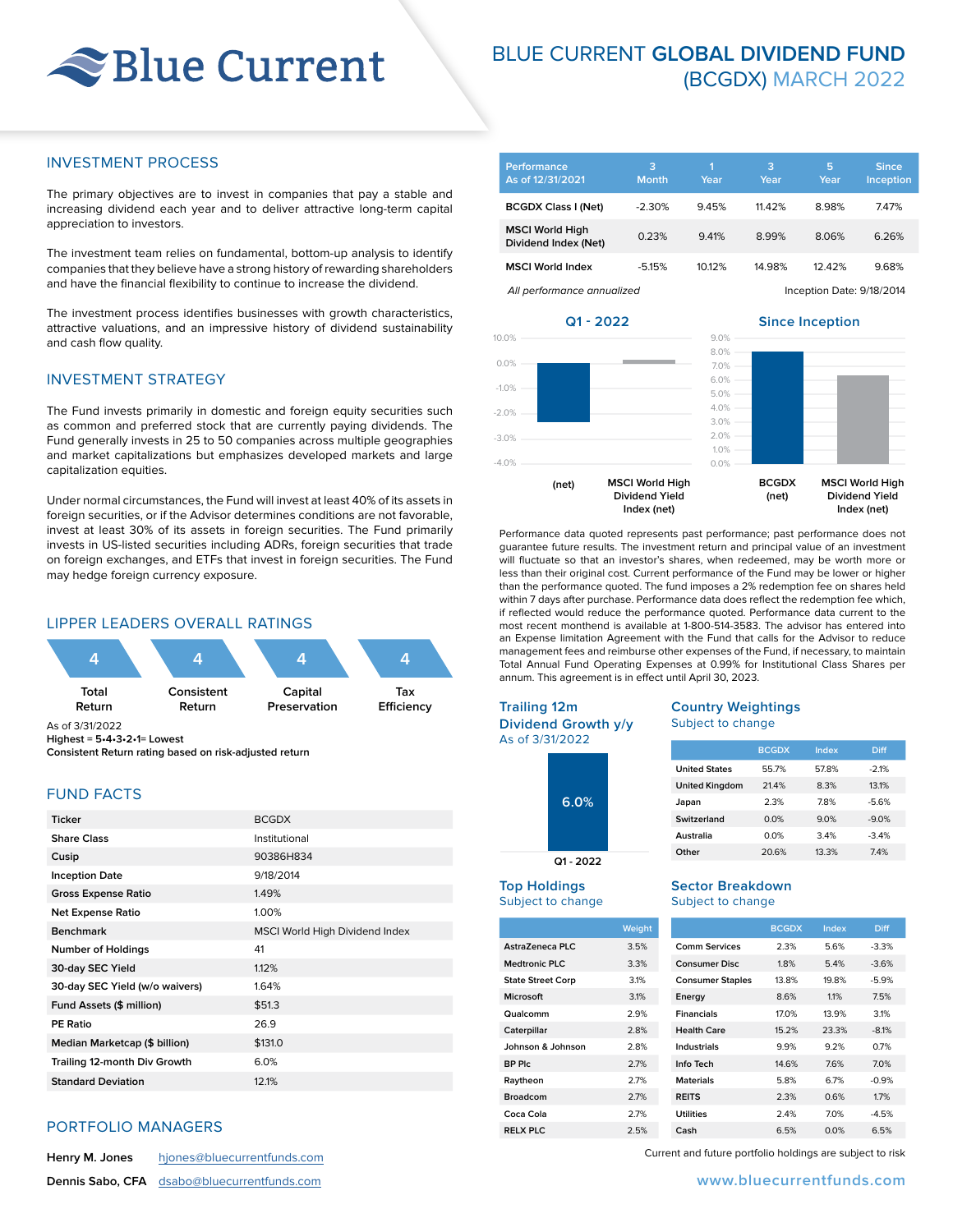# Blue Current

# BLUE CURRENT **GLOBAL DIVIDEND FUND** (BCGDX) MARCH 2022

#### INVESTMENT PROCESS

The primary objectives are to invest in companies that pay a stable and increasing dividend each year and to deliver attractive long-term capital appreciation to investors.

The investment team relies on fundamental, bottom-up analysis to identify companies that they believe have a strong history of rewarding shareholders and have the financial flexibility to continue to increase the dividend.

The investment process identifies businesses with growth characteristics, attractive valuations, and an impressive history of dividend sustainability and cash flow quality.

## INVESTMENT STRATEGY

The Fund invests primarily in domestic and foreign equity securities such as common and preferred stock that are currently paying dividends. The Fund generally invests in 25 to 50 companies across multiple geographies and market capitalizations but emphasizes developed markets and large capitalization equities.

Under normal circumstances, the Fund will invest at least 40% of its assets in foreign securities, or if the Advisor determines conditions are not favorable, invest at least 30% of its assets in foreign securities. The Fund primarily invests in US-listed securities including ADRs, foreign securities that trade on foreign exchanges, and ETFs that invest in foreign securities. The Fund may hedge foreign currency exposure.

#### LIPPER LEADERS OVERALL RATINGS



**Highest = 5•4•3•2•1= Lowest Consistent Return rating based on risk-adjusted return**

## FUND FACTS

| <b>Ticker</b>                  | <b>BCGDX</b>                   |
|--------------------------------|--------------------------------|
| <b>Share Class</b>             | Institutional                  |
| Cusip                          | 90386H834                      |
| <b>Inception Date</b>          | 9/18/2014                      |
| <b>Gross Expense Ratio</b>     | 1.49%                          |
| <b>Net Expense Ratio</b>       | 1.00%                          |
| <b>Benchmark</b>               | MSCI World High Dividend Index |
| <b>Number of Holdings</b>      | 41                             |
| 30-day SEC Yield               | 1.12%                          |
| 30-day SEC Yield (w/o waivers) | 1.64%                          |
| Fund Assets (\$ million)       | \$51.3                         |
| <b>PE Ratio</b>                | 26.9                           |
| Median Marketcap (\$ billion)  | \$131.0                        |
| Trailing 12-month Div Growth   | 6.0%                           |
| <b>Standard Deviation</b>      | 12.1%                          |

#### PORTFOLIO MANAGERS

| Henry M. Jones | hjones@bluecurrentfunds.com                        |
|----------------|----------------------------------------------------|
|                | <b>Dennis Sabo, CFA</b> dsabo@bluecurrentfunds.com |

| Performance<br>As of 12/31/2021                | з<br><b>Month</b> | n<br>Year | 3<br>Year | 5<br>Year                 | <b>Since</b><br>Inception, |  |
|------------------------------------------------|-------------------|-----------|-----------|---------------------------|----------------------------|--|
| <b>BCGDX Class I (Net)</b>                     | $-2.30%$          | 9.45%     | 11.42%    | 8.98%                     | 7.47%                      |  |
| <b>MSCI World High</b><br>Dividend Index (Net) | 0.23%             | 9.41%     | 8.99%     | 8.06%                     | 6.26%                      |  |
| <b>MSCI World Index</b>                        | $-5.15%$          | 10.12%    | 14.98%    | 1242%                     | 9.68%                      |  |
| All performance annualized                     |                   |           |           | Inception Date: 9/18/2014 |                            |  |

**Q1 - 2022**

**Since Inception**



Performance data quoted represents past performance; past performance does not guarantee future results. The investment return and principal value of an investment will fluctuate so that an investor's shares, when redeemed, may be worth more or less than their original cost. Current performance of the Fund may be lower or higher than the performance quoted. The fund imposes a 2% redemption fee on shares held within 7 days after purchase. Performance data does reflect the redemption fee which, if reflected would reduce the performance quoted. Performance data current to the most recent monthend is available at 1-800-514-3583. The advisor has entered into an Expense limitation Agreement with the Fund that calls for the Advisor to reduce management fees and reimburse other expenses of the Fund, if necessary, to maintain Total Annual Fund Operating Expenses at 0.99% for Institutional Class Shares per annum. This agreement is in effect until April 30, 2023.

> **Country Weightings** Subject to change

**United States** 55.7% 57.8% -2.1% **United Kingdom** 21.4% 8.3% 13.1% **Japan** 2.3% 7.8% -5.6% **Switzerland** 0.0% 9.0% -9.0% **Australia** 0.0% 3.4% -3.4% **Other** 20.6% 13.3% 7.4%

**Sector Breakdown** Subject to change

#### **Trailing 12m**

**Dividend Growth y/y** As of 3/31/2022

| -    |  |  |  |  |
|------|--|--|--|--|
| 6.0% |  |  |  |  |

**Q1 - 2022**

#### **Top Holdings** Subject to change

|                          | Weight |                         | <b>BCGDX</b> | Index | <b>Diff</b> |
|--------------------------|--------|-------------------------|--------------|-------|-------------|
| AstraZeneca PLC          | 3.5%   | Comm Services           | 2.3%         | 5.6%  | $-3.3%$     |
| <b>Medtronic PLC</b>     | 3.3%   | <b>Consumer Disc</b>    | 1.8%         | 5.4%  | $-3.6%$     |
| <b>State Street Corp</b> | 3.1%   | <b>Consumer Staples</b> | 13.8%        | 19.8% | $-5.9%$     |
| <b>Microsoft</b>         | 3.1%   | Energy                  | 8.6%         | 1.1%  | 7.5%        |
| Qualcomm                 | 2.9%   | <b>Financials</b>       | 17.0%        | 13.9% | 3.1%        |
| Caterpillar              | 2.8%   | <b>Health Care</b>      | 15.2%        | 23.3% | $-8.1%$     |
| Johnson & Johnson        | 2.8%   | Industrials             | 9.9%         | 9.2%  | 0.7%        |
| BP Plc                   | 2.7%   | Info Tech               | 14.6%        | 7.6%  | 7.0%        |
| Raytheon                 | 2.7%   | <b>Materials</b>        | 5.8%         | 6.7%  | $-0.9%$     |
| <b>Broadcom</b>          | 2.7%   | <b>REITS</b>            | 2.3%         | 0.6%  | 1.7%        |
| Coca Cola                | 2.7%   | <b>Utilities</b>        | 2.4%         | 7.0%  | $-4.5%$     |
| <b>RELX PLC</b>          | 2.5%   | Cash                    | 6.5%         | 0.0%  | 6.5%        |

Current and future portfolio holdings are subject to risk